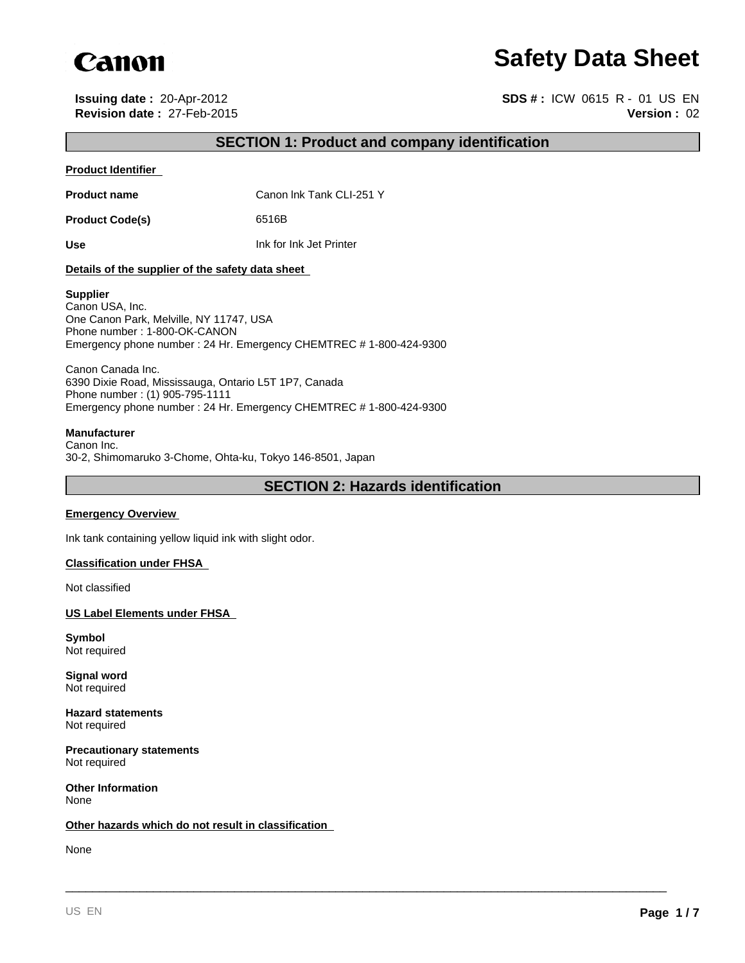

# **Safety Data Sheet**

**Issuing date :** 20-Apr-2012 **SDS # :** ICW 0615 R - 01 US EN **Revision date :** 27-Feb-2015 **Version :** 02

# **SECTION 1: Product and company identification**

#### **Product Identifier**

**Product name** Canon Ink Tank CLI-251 Y

Product Code(s) 6516B

**Use** Ink for Ink Jet Printer

#### **Details of the supplier of the safety data sheet**

#### **Supplier**

Canon USA, Inc. One Canon Park, Melville, NY 11747, USA Phone number : 1-800-OK-CANON Emergency phone number : 24 Hr. Emergency CHEMTREC # 1-800-424-9300

Canon Canada Inc. 6390 Dixie Road, Mississauga, Ontario L5T 1P7, Canada Phone number : (1) 905-795-1111 Emergency phone number : 24 Hr. Emergency CHEMTREC # 1-800-424-9300

#### **Manufacturer**

Canon Inc. 30-2, Shimomaruko 3-Chome, Ohta-ku, Tokyo 146-8501, Japan

# **SECTION 2: Hazards identification**

\_\_\_\_\_\_\_\_\_\_\_\_\_\_\_\_\_\_\_\_\_\_\_\_\_\_\_\_\_\_\_\_\_\_\_\_\_\_\_\_\_\_\_\_\_\_\_\_\_\_\_\_\_\_\_\_\_\_\_\_\_\_\_\_\_\_\_\_\_\_\_\_\_\_\_\_\_\_\_\_\_\_\_\_\_\_\_\_\_

#### **Emergency Overview**

Ink tank containing yellow liquid ink with slight odor.

#### **Classification under FHSA**

Not classified

#### **US Label Elements under FHSA**

**Symbol** Not required

**Signal word** Not required

**Hazard statements** Not required

**Precautionary statements** Not required

**Other Information** None

#### **Other hazards which do not result in classification**

None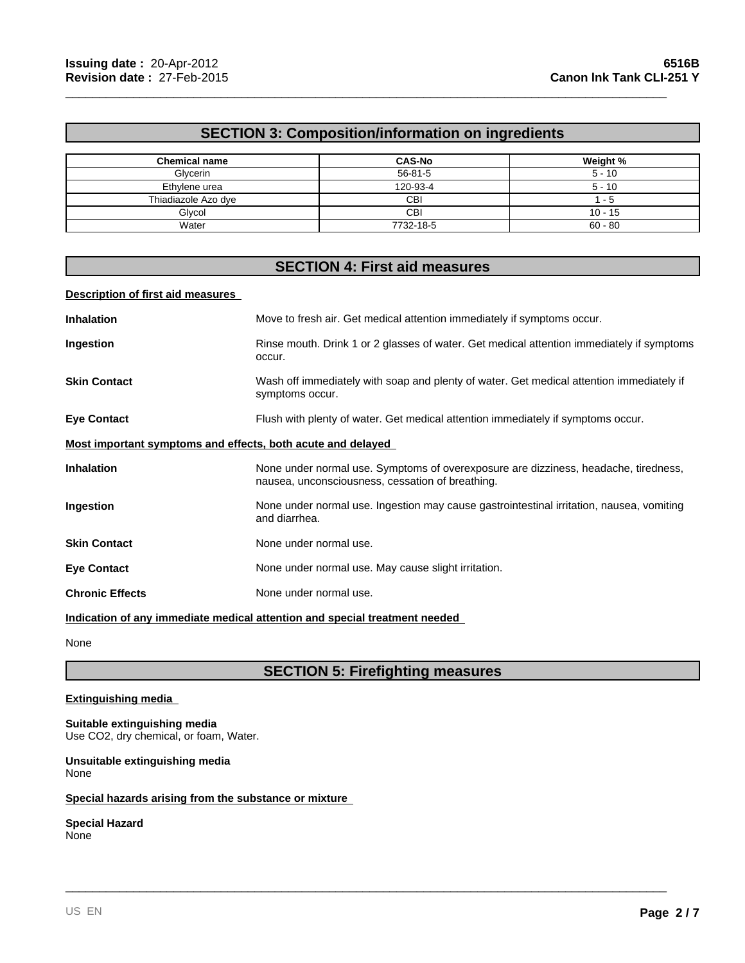# **SECTION 3: Composition/information on ingredients**

\_\_\_\_\_\_\_\_\_\_\_\_\_\_\_\_\_\_\_\_\_\_\_\_\_\_\_\_\_\_\_\_\_\_\_\_\_\_\_\_\_\_\_\_\_\_\_\_\_\_\_\_\_\_\_\_\_\_\_\_\_\_\_\_\_\_\_\_\_\_\_\_\_\_\_\_\_\_\_\_\_\_\_\_\_\_\_\_\_

| <b>Chemical name</b> | <b>CAS-No</b> | Weight %  |
|----------------------|---------------|-----------|
| Glycerin             | $56 - 81 - 5$ | $5 - 10$  |
| Ethylene urea        | 120-93-4      | $5 - 10$  |
| Thiadiazole Azo dye  | CBI           | - 5       |
| Glvcol               | CBI           | $10 - 15$ |
| Water                | 7732-18-5     | $60 - 80$ |

# **SECTION 4: First aid measures**

#### **Description of first aid measures**

| <b>Inhalation</b>                                                          | Move to fresh air. Get medical attention immediately if symptoms occur.                                                                 |  |
|----------------------------------------------------------------------------|-----------------------------------------------------------------------------------------------------------------------------------------|--|
| Ingestion                                                                  | Rinse mouth. Drink 1 or 2 glasses of water. Get medical attention immediately if symptoms<br>occur.                                     |  |
| <b>Skin Contact</b>                                                        | Wash off immediately with soap and plenty of water. Get medical attention immediately if<br>symptoms occur.                             |  |
| <b>Eye Contact</b>                                                         | Flush with plenty of water. Get medical attention immediately if symptoms occur.                                                        |  |
| Most important symptoms and effects, both acute and delayed                |                                                                                                                                         |  |
| <b>Inhalation</b>                                                          | None under normal use. Symptoms of overexposure are dizziness, headache, tiredness,<br>nausea, unconsciousness, cessation of breathing. |  |
| Ingestion                                                                  | None under normal use. Ingestion may cause gastrointestinal irritation, nausea, vomiting<br>and diarrhea.                               |  |
| <b>Skin Contact</b>                                                        | None under normal use.                                                                                                                  |  |
| <b>Eye Contact</b>                                                         | None under normal use. May cause slight irritation.                                                                                     |  |
| <b>Chronic Effects</b>                                                     | None under normal use.                                                                                                                  |  |
| Indication of any immediate medical attention and special treatment needed |                                                                                                                                         |  |

None

# **SECTION 5: Firefighting measures**

\_\_\_\_\_\_\_\_\_\_\_\_\_\_\_\_\_\_\_\_\_\_\_\_\_\_\_\_\_\_\_\_\_\_\_\_\_\_\_\_\_\_\_\_\_\_\_\_\_\_\_\_\_\_\_\_\_\_\_\_\_\_\_\_\_\_\_\_\_\_\_\_\_\_\_\_\_\_\_\_\_\_\_\_\_\_\_\_\_

#### **Extinguishing media**

### **Suitable extinguishing media**

Use CO2, dry chemical, or foam, Water.

**Unsuitable extinguishing media** None

#### **Special hazards arising from the substance or mixture**

# **Special Hazard**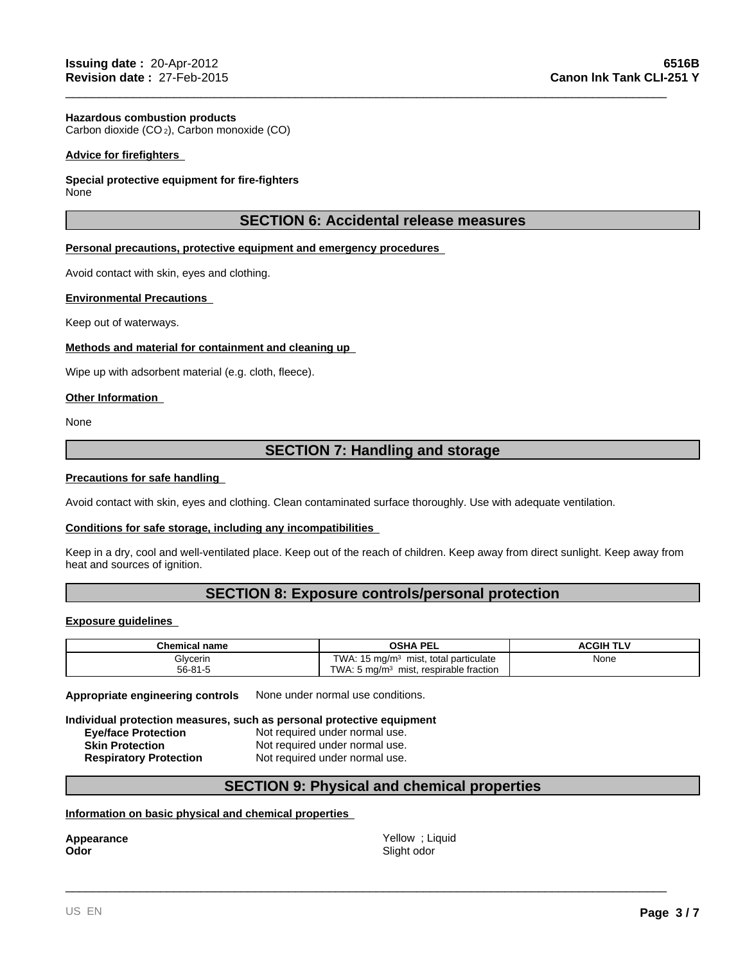#### **Hazardous combustion products**

Carbon dioxide (CO 2), Carbon monoxide (CO)

#### **Advice for firefighters**

#### **Special protective equipment for fire-fighters**

None

### **SECTION 6: Accidental release measures**

\_\_\_\_\_\_\_\_\_\_\_\_\_\_\_\_\_\_\_\_\_\_\_\_\_\_\_\_\_\_\_\_\_\_\_\_\_\_\_\_\_\_\_\_\_\_\_\_\_\_\_\_\_\_\_\_\_\_\_\_\_\_\_\_\_\_\_\_\_\_\_\_\_\_\_\_\_\_\_\_\_\_\_\_\_\_\_\_\_

#### **Personal precautions, protective equipment and emergency procedures**

Avoid contact with skin, eyes and clothing.

#### **Environmental Precautions**

Keep out of waterways.

#### **Methods and material for containment and cleaning up**

Wipe up with adsorbent material (e.g. cloth, fleece).

#### **Other Information**

None

# **SECTION 7: Handling and storage**

#### **Precautions for safe handling**

Avoid contact with skin, eyes and clothing. Clean contaminated surface thoroughly. Use with adequate ventilation.

#### **Conditions for safe storage, including any incompatibilities**

Keep in a dry, cool and well-ventilated place. Keep out of the reach of children. Keep away from direct sunlight. Keep away from heat and sources of ignition.

### **SECTION 8: Exposure controls/personal protection**

#### **Exposure guidelines**

| Chemical name | <b>PEL</b><br>OSHA                                        | ACGIH TI <sup>v</sup> |
|---------------|-----------------------------------------------------------|-----------------------|
| Glycerin      | TWA.<br>, total particulate<br>15 mg/m $\degree$<br>mist, | None                  |
| $56 - 81 - 5$ | TWA.<br>respirable fraction<br>. 5 ma/m $^3$<br>mist,     |                       |

**Appropriate engineering controls** None under normal use conditions.

**Individual protection measures, such as personal protective equipment**

| <b>Eye/face Protection</b>    | Not required under normal use. |
|-------------------------------|--------------------------------|
| <b>Skin Protection</b>        | Not required under normal use. |
| <b>Respiratory Protection</b> | Not required under normal use. |

# **SECTION 9: Physical and chemical properties**

#### **Information on basic physical and chemical properties**

**Appearance**

Yellow ; Liquid **Odor** Slight odor

\_\_\_\_\_\_\_\_\_\_\_\_\_\_\_\_\_\_\_\_\_\_\_\_\_\_\_\_\_\_\_\_\_\_\_\_\_\_\_\_\_\_\_\_\_\_\_\_\_\_\_\_\_\_\_\_\_\_\_\_\_\_\_\_\_\_\_\_\_\_\_\_\_\_\_\_\_\_\_\_\_\_\_\_\_\_\_\_\_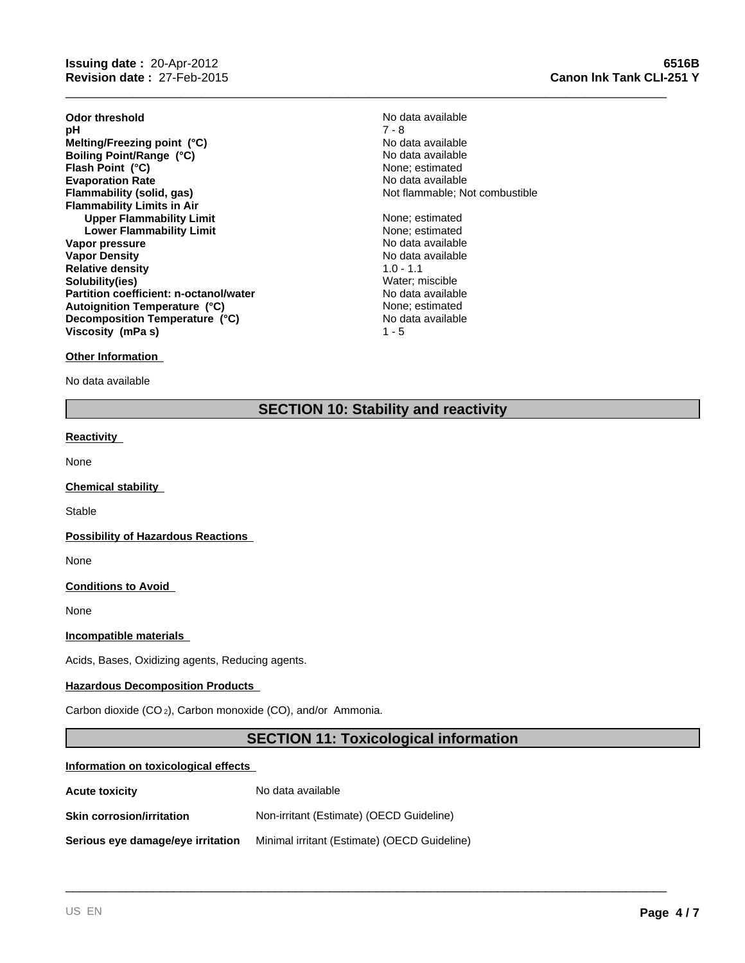**Odor threshold** No data available No data available **pH** 7 - 8 Evaporation Rate<br> **Example 19** No data available<br> **Elammability (solid, gas)** Not flammable; Not **Flammability Limits in Air Upper Flammability Limit** None; estimated **Lower Flammability Limit** None; estimated **Vapor pressure** No data available No data available **Vapor Density**<br> **Relative density**<br> **Relative density**<br> **Relative density**<br> **Relative density Relative density and the set of the control of the Solubility (1.0 - 1.1** Solubility (i.e. 1.1)<br> **Solubility (i.e.s.) Solubility(ies)**<br> **Partition coefficient: n-octanol/water**<br> **Partition coefficient: n-octanol/water**<br> **Water Solution Coefficient: n-octanol/water Partition coefficient: n-octanol/water Melting/Freezing point (°C)**<br> **Boiling Point/Range (°C)**<br> **Boiling Point/Range (°C)**<br> **Boiling Point/Range (°C) Boiling Point/Range (°C)**<br> **Boiling Point (°C)**<br> **Flash Point (°C)**<br> **Range CO Flash Point (°C) Autoignition Temperature (°C)** None; estimated **Decomposition Temperature (°C) Viscosity (mPa s)** 1 - 5

Not flammable; Not combustible No data available

\_\_\_\_\_\_\_\_\_\_\_\_\_\_\_\_\_\_\_\_\_\_\_\_\_\_\_\_\_\_\_\_\_\_\_\_\_\_\_\_\_\_\_\_\_\_\_\_\_\_\_\_\_\_\_\_\_\_\_\_\_\_\_\_\_\_\_\_\_\_\_\_\_\_\_\_\_\_\_\_\_\_\_\_\_\_\_\_\_

#### **Other Information**

No data available

# **SECTION 10: Stability and reactivity**

#### **Reactivity**

None

**Chemical stability** 

**Stable** 

**Possibility of Hazardous Reactions** 

None

**Conditions to Avoid** 

None

#### **Incompatible materials**

Acids, Bases, Oxidizing agents, Reducing agents.

#### **Hazardous Decomposition Products**

Carbon dioxide (CO 2), Carbon monoxide (CO), and/or Ammonia.

# **SECTION 11: Toxicological information**

\_\_\_\_\_\_\_\_\_\_\_\_\_\_\_\_\_\_\_\_\_\_\_\_\_\_\_\_\_\_\_\_\_\_\_\_\_\_\_\_\_\_\_\_\_\_\_\_\_\_\_\_\_\_\_\_\_\_\_\_\_\_\_\_\_\_\_\_\_\_\_\_\_\_\_\_\_\_\_\_\_\_\_\_\_\_\_\_\_

#### **Information on toxicological effects**

| <b>Acute toxicity</b>             | No data available                            |
|-----------------------------------|----------------------------------------------|
| <b>Skin corrosion/irritation</b>  | Non-irritant (Estimate) (OECD Guideline)     |
| Serious eye damage/eye irritation | Minimal irritant (Estimate) (OECD Guideline) |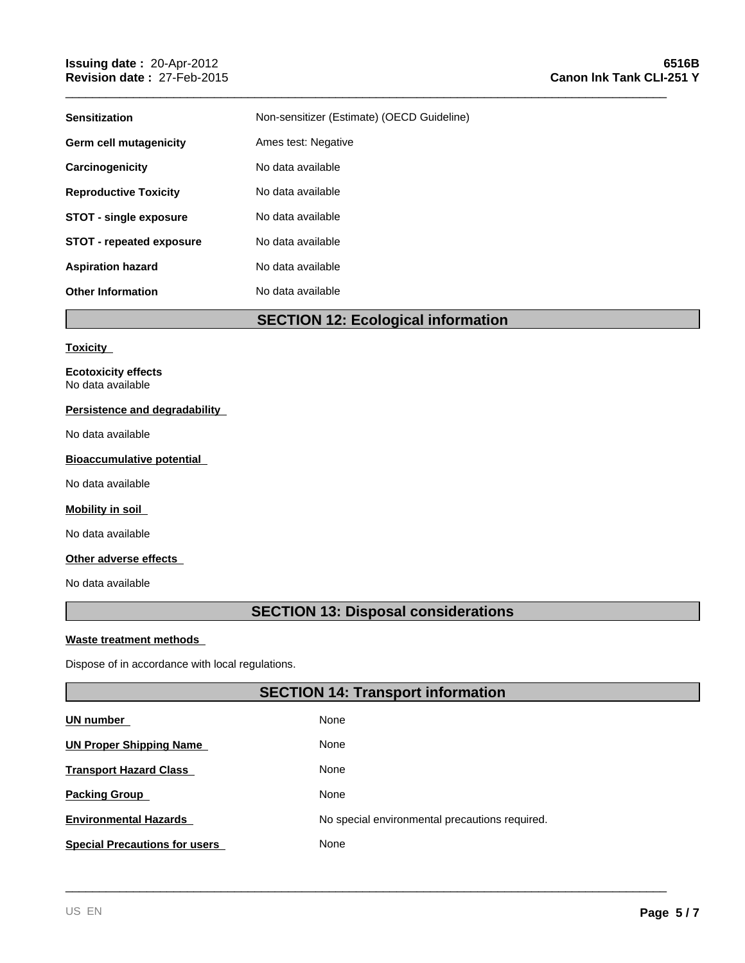| <b>Sensitization</b>            | Non-sensitizer (Estimate) (OECD Guideline) |
|---------------------------------|--------------------------------------------|
| Germ cell mutagenicity          | Ames test: Negative                        |
| Carcinogenicity                 | No data available                          |
| <b>Reproductive Toxicity</b>    | No data available                          |
| <b>STOT - single exposure</b>   | No data available                          |
| <b>STOT - repeated exposure</b> | No data available                          |
| <b>Aspiration hazard</b>        | No data available                          |
| <b>Other Information</b>        | No data available                          |
|                                 |                                            |

\_\_\_\_\_\_\_\_\_\_\_\_\_\_\_\_\_\_\_\_\_\_\_\_\_\_\_\_\_\_\_\_\_\_\_\_\_\_\_\_\_\_\_\_\_\_\_\_\_\_\_\_\_\_\_\_\_\_\_\_\_\_\_\_\_\_\_\_\_\_\_\_\_\_\_\_\_\_\_\_\_\_\_\_\_\_\_\_\_

**SECTION 12: Ecological information**

#### **Toxicity**

**Ecotoxicity effects** No data available

### **Persistence and degradability**

No data available

#### **Bioaccumulative potential**

No data available

#### **Mobility in soil**

No data available

### **Other adverse effects**

No data available

# **SECTION 13: Disposal considerations**

#### **Waste treatment methods**

Dispose of in accordance with local regulations.

# **SECTION 14: Transport information**

| <b>UN number</b>                     | None                                           |
|--------------------------------------|------------------------------------------------|
| <b>UN Proper Shipping Name</b>       | None                                           |
| <b>Transport Hazard Class</b>        | None                                           |
| <b>Packing Group</b>                 | None                                           |
| <b>Environmental Hazards</b>         | No special environmental precautions required. |
| <b>Special Precautions for users</b> | None                                           |
|                                      |                                                |
|                                      |                                                |